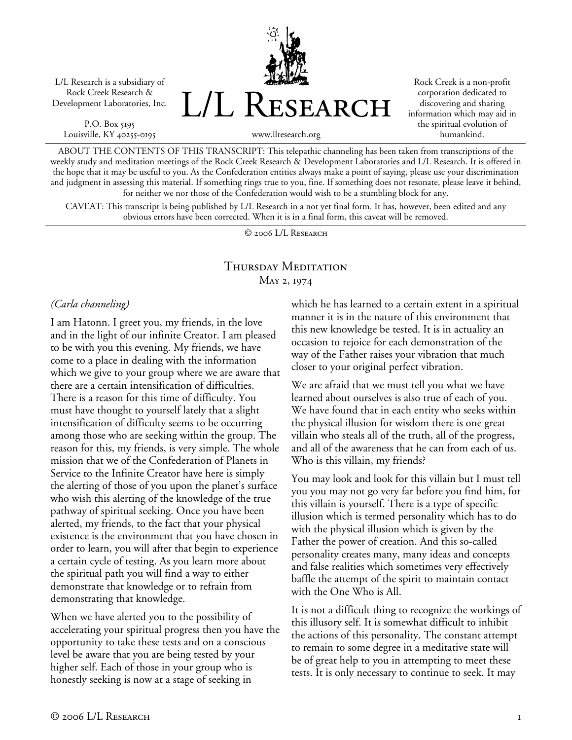L/L Research is a subsidiary of Rock Creek Research & Development Laboratories, Inc.

P.O. Box 5195 Louisville, KY 40255-0195 L/L Research

Rock Creek is a non-profit corporation dedicated to discovering and sharing information which may aid in the spiritual evolution of humankind.

www.llresearch.org

ABOUT THE CONTENTS OF THIS TRANSCRIPT: This telepathic channeling has been taken from transcriptions of the weekly study and meditation meetings of the Rock Creek Research & Development Laboratories and L/L Research. It is offered in the hope that it may be useful to you. As the Confederation entities always make a point of saying, please use your discrimination and judgment in assessing this material. If something rings true to you, fine. If something does not resonate, please leave it behind, for neither we nor those of the Confederation would wish to be a stumbling block for any.

CAVEAT: This transcript is being published by L/L Research in a not yet final form. It has, however, been edited and any obvious errors have been corrected. When it is in a final form, this caveat will be removed.

© 2006 L/L Research

## Thursday Meditation May 2, 1974

## *(Carla channeling)*

I am Hatonn. I greet you, my friends, in the love and in the light of our infinite Creator. I am pleased to be with you this evening. My friends, we have come to a place in dealing with the information which we give to your group where we are aware that there are a certain intensification of difficulties. There is a reason for this time of difficulty. You must have thought to yourself lately that a slight intensification of difficulty seems to be occurring among those who are seeking within the group. The reason for this, my friends, is very simple. The whole mission that we of the Confederation of Planets in Service to the Infinite Creator have here is simply the alerting of those of you upon the planet's surface who wish this alerting of the knowledge of the true pathway of spiritual seeking. Once you have been alerted, my friends, to the fact that your physical existence is the environment that you have chosen in order to learn, you will after that begin to experience a certain cycle of testing. As you learn more about the spiritual path you will find a way to either demonstrate that knowledge or to refrain from demonstrating that knowledge.

When we have alerted you to the possibility of accelerating your spiritual progress then you have the opportunity to take these tests and on a conscious level be aware that you are being tested by your higher self. Each of those in your group who is honestly seeking is now at a stage of seeking in

which he has learned to a certain extent in a spiritual manner it is in the nature of this environment that this new knowledge be tested. It is in actuality an occasion to rejoice for each demonstration of the way of the Father raises your vibration that much closer to your original perfect vibration.

We are afraid that we must tell you what we have learned about ourselves is also true of each of you. We have found that in each entity who seeks within the physical illusion for wisdom there is one great villain who steals all of the truth, all of the progress, and all of the awareness that he can from each of us. Who is this villain, my friends?

You may look and look for this villain but I must tell you you may not go very far before you find him, for this villain is yourself. There is a type of specific illusion which is termed personality which has to do with the physical illusion which is given by the Father the power of creation. And this so-called personality creates many, many ideas and concepts and false realities which sometimes very effectively baffle the attempt of the spirit to maintain contact with the One Who is All.

It is not a difficult thing to recognize the workings of this illusory self. It is somewhat difficult to inhibit the actions of this personality. The constant attempt to remain to some degree in a meditative state will be of great help to you in attempting to meet these tests. It is only necessary to continue to seek. It may